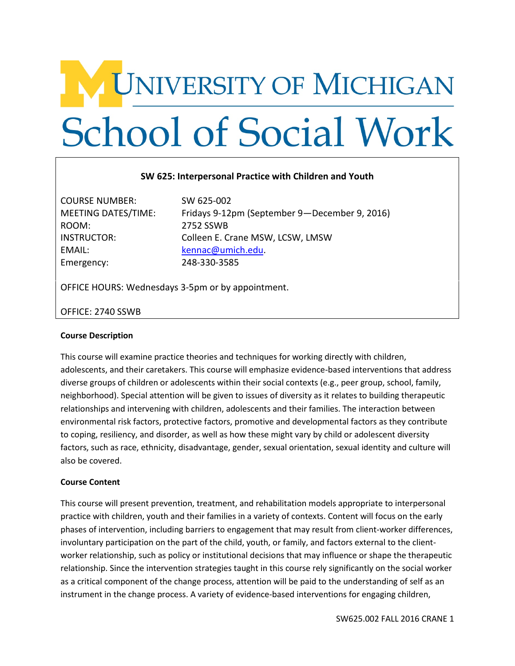# V UNIVERSITY OF MICHIGAN **School of Social Work**

#### **SW 625: Interpersonal Practice with Children and Youth**

COURSE NUMBER: SW 625-002 ROOM: 2752 SSWB EMAIL: [kennac@umich.edu.](mailto:kennac@umich.edu) Emergency: 248-330-3585

MEETING DATES/TIME: Fridays 9-12pm (September 9—December 9, 2016) INSTRUCTOR: Colleen E. Crane MSW, LCSW, LMSW

OFFICE HOURS: Wednesdays 3-5pm or by appointment.

#### OFFICE: 2740 SSWB

#### **Course Description**

This course will examine practice theories and techniques for working directly with children, adolescents, and their caretakers. This course will emphasize evidence-based interventions that address diverse groups of children or adolescents within their social contexts (e.g., peer group, school, family, neighborhood). Special attention will be given to issues of diversity as it relates to building therapeutic relationships and intervening with children, adolescents and their families. The interaction between environmental risk factors, protective factors, promotive and developmental factors as they contribute to coping, resiliency, and disorder, as well as how these might vary by child or adolescent diversity factors, such as race, ethnicity, disadvantage, gender, sexual orientation, sexual identity and culture will also be covered.

#### **Course Content**

This course will present prevention, treatment, and rehabilitation models appropriate to interpersonal practice with children, youth and their families in a variety of contexts. Content will focus on the early phases of intervention, including barriers to engagement that may result from client-worker differences, involuntary participation on the part of the child, youth, or family, and factors external to the clientworker relationship, such as policy or institutional decisions that may influence or shape the therapeutic relationship. Since the intervention strategies taught in this course rely significantly on the social worker as a critical component of the change process, attention will be paid to the understanding of self as an instrument in the change process. A variety of evidence-based interventions for engaging children,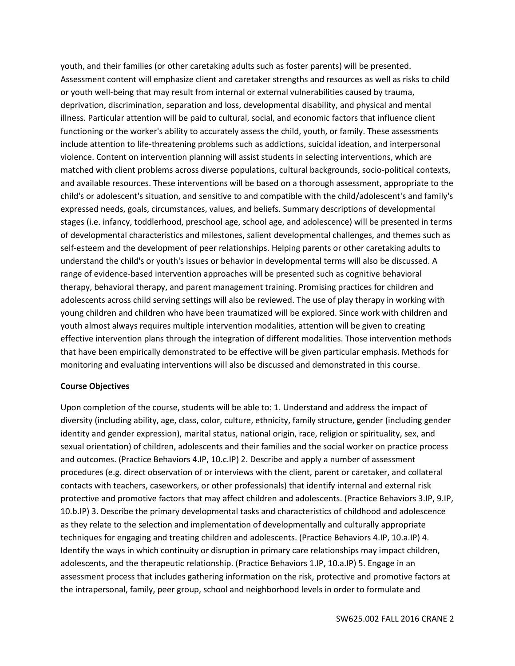youth, and their families (or other caretaking adults such as foster parents) will be presented. Assessment content will emphasize client and caretaker strengths and resources as well as risks to child or youth well-being that may result from internal or external vulnerabilities caused by trauma, deprivation, discrimination, separation and loss, developmental disability, and physical and mental illness. Particular attention will be paid to cultural, social, and economic factors that influence client functioning or the worker's ability to accurately assess the child, youth, or family. These assessments include attention to life-threatening problems such as addictions, suicidal ideation, and interpersonal violence. Content on intervention planning will assist students in selecting interventions, which are matched with client problems across diverse populations, cultural backgrounds, socio-political contexts, and available resources. These interventions will be based on a thorough assessment, appropriate to the child's or adolescent's situation, and sensitive to and compatible with the child/adolescent's and family's expressed needs, goals, circumstances, values, and beliefs. Summary descriptions of developmental stages (i.e. infancy, toddlerhood, preschool age, school age, and adolescence) will be presented in terms of developmental characteristics and milestones, salient developmental challenges, and themes such as self-esteem and the development of peer relationships. Helping parents or other caretaking adults to understand the child's or youth's issues or behavior in developmental terms will also be discussed. A range of evidence-based intervention approaches will be presented such as cognitive behavioral therapy, behavioral therapy, and parent management training. Promising practices for children and adolescents across child serving settings will also be reviewed. The use of play therapy in working with young children and children who have been traumatized will be explored. Since work with children and youth almost always requires multiple intervention modalities, attention will be given to creating effective intervention plans through the integration of different modalities. Those intervention methods that have been empirically demonstrated to be effective will be given particular emphasis. Methods for monitoring and evaluating interventions will also be discussed and demonstrated in this course.

#### **Course Objectives**

Upon completion of the course, students will be able to: 1. Understand and address the impact of diversity (including ability, age, class, color, culture, ethnicity, family structure, gender (including gender identity and gender expression), marital status, national origin, race, religion or spirituality, sex, and sexual orientation) of children, adolescents and their families and the social worker on practice process and outcomes. (Practice Behaviors 4.IP, 10.c.IP) 2. Describe and apply a number of assessment procedures (e.g. direct observation of or interviews with the client, parent or caretaker, and collateral contacts with teachers, caseworkers, or other professionals) that identify internal and external risk protective and promotive factors that may affect children and adolescents. (Practice Behaviors 3.IP, 9.IP, 10.b.IP) 3. Describe the primary developmental tasks and characteristics of childhood and adolescence as they relate to the selection and implementation of developmentally and culturally appropriate techniques for engaging and treating children and adolescents. (Practice Behaviors 4.IP, 10.a.IP) 4. Identify the ways in which continuity or disruption in primary care relationships may impact children, adolescents, and the therapeutic relationship. (Practice Behaviors 1.IP, 10.a.IP) 5. Engage in an assessment process that includes gathering information on the risk, protective and promotive factors at the intrapersonal, family, peer group, school and neighborhood levels in order to formulate and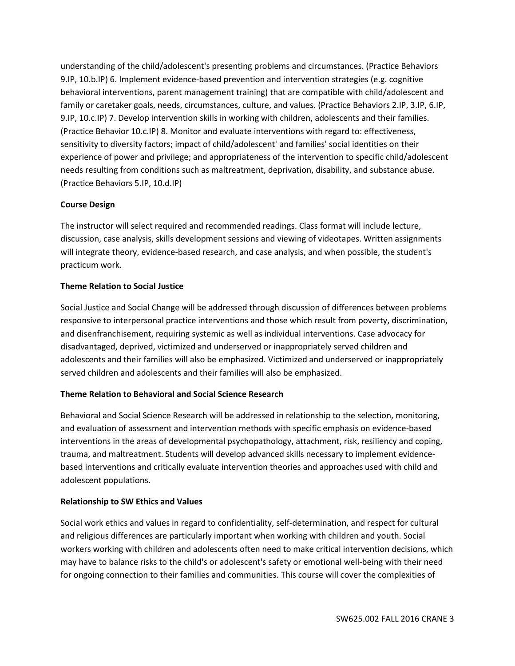understanding of the child/adolescent's presenting problems and circumstances. (Practice Behaviors 9.IP, 10.b.IP) 6. Implement evidence-based prevention and intervention strategies (e.g. cognitive behavioral interventions, parent management training) that are compatible with child/adolescent and family or caretaker goals, needs, circumstances, culture, and values. (Practice Behaviors 2.IP, 3.IP, 6.IP, 9.IP, 10.c.IP) 7. Develop intervention skills in working with children, adolescents and their families. (Practice Behavior 10.c.IP) 8. Monitor and evaluate interventions with regard to: effectiveness, sensitivity to diversity factors; impact of child/adolescent' and families' social identities on their experience of power and privilege; and appropriateness of the intervention to specific child/adolescent needs resulting from conditions such as maltreatment, deprivation, disability, and substance abuse. (Practice Behaviors 5.IP, 10.d.IP)

#### **Course Design**

The instructor will select required and recommended readings. Class format will include lecture, discussion, case analysis, skills development sessions and viewing of videotapes. Written assignments will integrate theory, evidence-based research, and case analysis, and when possible, the student's practicum work.

#### **Theme Relation to Social Justice**

Social Justice and Social Change will be addressed through discussion of differences between problems responsive to interpersonal practice interventions and those which result from poverty, discrimination, and disenfranchisement, requiring systemic as well as individual interventions. Case advocacy for disadvantaged, deprived, victimized and underserved or inappropriately served children and adolescents and their families will also be emphasized. Victimized and underserved or inappropriately served children and adolescents and their families will also be emphasized.

#### **Theme Relation to Behavioral and Social Science Research**

Behavioral and Social Science Research will be addressed in relationship to the selection, monitoring, and evaluation of assessment and intervention methods with specific emphasis on evidence-based interventions in the areas of developmental psychopathology, attachment, risk, resiliency and coping, trauma, and maltreatment. Students will develop advanced skills necessary to implement evidencebased interventions and critically evaluate intervention theories and approaches used with child and adolescent populations.

#### **Relationship to SW Ethics and Values**

Social work ethics and values in regard to confidentiality, self-determination, and respect for cultural and religious differences are particularly important when working with children and youth. Social workers working with children and adolescents often need to make critical intervention decisions, which may have to balance risks to the child's or adolescent's safety or emotional well-being with their need for ongoing connection to their families and communities. This course will cover the complexities of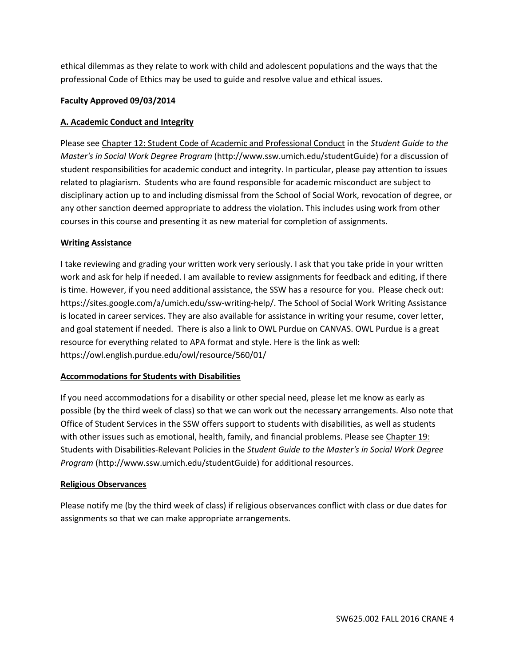ethical dilemmas as they relate to work with child and adolescent populations and the ways that the professional Code of Ethics may be used to guide and resolve value and ethical issues.

#### **Faculty Approved 09/03/2014**

#### **A. Academic Conduct and Integrity**

Please see Chapter 12: Student Code of Academic and Professional Conduct in the *Student Guide to the Master's in Social Work Degree Program* (http://www.ssw.umich.edu/studentGuide) for a discussion of student responsibilities for academic conduct and integrity. In particular, please pay attention to issues related to plagiarism. Students who are found responsible for academic misconduct are subject to disciplinary action up to and including dismissal from the School of Social Work, revocation of degree, or any other sanction deemed appropriate to address the violation. This includes using work from other courses in this course and presenting it as new material for completion of assignments.

#### **Writing Assistance**

I take reviewing and grading your written work very seriously. I ask that you take pride in your written work and ask for help if needed. I am available to review assignments for feedback and editing, if there is time. However, if you need additional assistance, the SSW has a resource for you. Please check out: https://sites.google.com/a/umich.edu/ssw-writing-help/. The School of Social Work Writing Assistance is located in career services. They are also available for assistance in writing your resume, cover letter, and goal statement if needed. There is also a link to OWL Purdue on CANVAS. OWL Purdue is a great resource for everything related to APA format and style. Here is the link as well: https://owl.english.purdue.edu/owl/resource/560/01/

# **Accommodations for Students with Disabilities**

If you need accommodations for a disability or other special need, please let me know as early as possible (by the third week of class) so that we can work out the necessary arrangements. Also note that Office of Student Services in the SSW offers support to students with disabilities, as well as students with other issues such as emotional, health, family, and financial problems. Please see Chapter 19: Students with Disabilities-Relevant Policies in the *Student Guide to the Master's in Social Work Degree Program* (http://www.ssw.umich.edu/studentGuide) for additional resources.

#### **Religious Observances**

Please notify me (by the third week of class) if religious observances conflict with class or due dates for assignments so that we can make appropriate arrangements.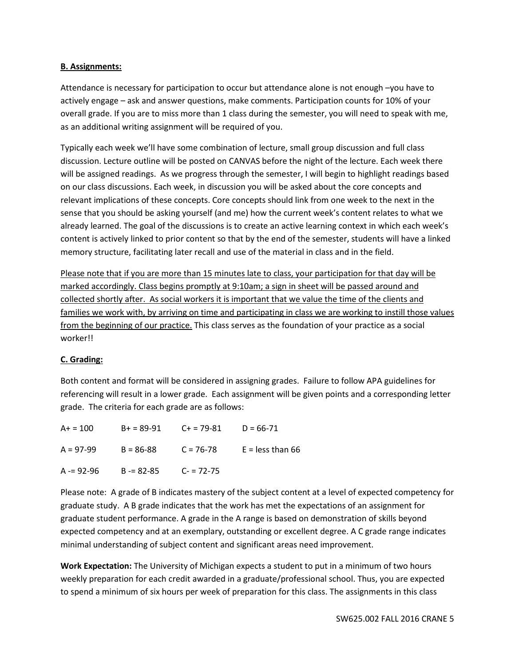#### **B. Assignments:**

Attendance is necessary for participation to occur but attendance alone is not enough –you have to actively engage – ask and answer questions, make comments. Participation counts for 10% of your overall grade. If you are to miss more than 1 class during the semester, you will need to speak with me, as an additional writing assignment will be required of you.

Typically each week we'll have some combination of lecture, small group discussion and full class discussion. Lecture outline will be posted on CANVAS before the night of the lecture. Each week there will be assigned readings. As we progress through the semester, I will begin to highlight readings based on our class discussions. Each week, in discussion you will be asked about the core concepts and relevant implications of these concepts. Core concepts should link from one week to the next in the sense that you should be asking yourself (and me) how the current week's content relates to what we already learned. The goal of the discussions is to create an active learning context in which each week's content is actively linked to prior content so that by the end of the semester, students will have a linked memory structure, facilitating later recall and use of the material in class and in the field.

Please note that if you are more than 15 minutes late to class, your participation for that day will be marked accordingly. Class begins promptly at 9:10am; a sign in sheet will be passed around and collected shortly after. As social workers it is important that we value the time of the clients and families we work with, by arriving on time and participating in class we are working to instill those values from the beginning of our practice. This class serves as the foundation of your practice as a social worker!!

# **C. Grading:**

Both content and format will be considered in assigning grades. Failure to follow APA guidelines for referencing will result in a lower grade. Each assignment will be given points and a corresponding letter grade. The criteria for each grade are as follows:

| $A+ = 100$  | $B+ = 89-91$ $C+ = 79-81$ |               | $D = 66 - 71$      |
|-------------|---------------------------|---------------|--------------------|
| $A = 97-99$ | $B = 86 - 88$             | $C = 76-78$   | $E =$ less than 66 |
| $A = 92-96$ | B -= 82-85                | $C - 72 - 75$ |                    |

Please note: A grade of B indicates mastery of the subject content at a level of expected competency for graduate study. A B grade indicates that the work has met the expectations of an assignment for graduate student performance. A grade in the A range is based on demonstration of skills beyond expected competency and at an exemplary, outstanding or excellent degree. A C grade range indicates minimal understanding of subject content and significant areas need improvement.

**Work Expectation:** The University of Michigan expects a student to put in a minimum of two hours weekly preparation for each credit awarded in a graduate/professional school. Thus, you are expected to spend a minimum of six hours per week of preparation for this class. The assignments in this class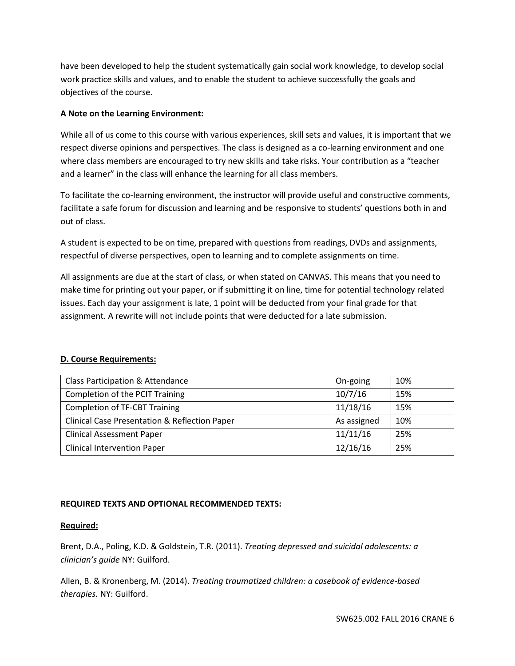have been developed to help the student systematically gain social work knowledge, to develop social work practice skills and values, and to enable the student to achieve successfully the goals and objectives of the course.

#### **A Note on the Learning Environment:**

While all of us come to this course with various experiences, skill sets and values, it is important that we respect diverse opinions and perspectives. The class is designed as a co-learning environment and one where class members are encouraged to try new skills and take risks. Your contribution as a "teacher and a learner" in the class will enhance the learning for all class members.

To facilitate the co-learning environment, the instructor will provide useful and constructive comments, facilitate a safe forum for discussion and learning and be responsive to students' questions both in and out of class.

A student is expected to be on time, prepared with questions from readings, DVDs and assignments, respectful of diverse perspectives, open to learning and to complete assignments on time.

All assignments are due at the start of class, or when stated on CANVAS. This means that you need to make time for printing out your paper, or if submitting it on line, time for potential technology related issues. Each day your assignment is late, 1 point will be deducted from your final grade for that assignment. A rewrite will not include points that were deducted for a late submission.

#### **D. Course Requirements:**

| Class Participation & Attendance                         | On-going    | 10% |
|----------------------------------------------------------|-------------|-----|
| Completion of the PCIT Training                          | 10/7/16     | 15% |
| <b>Completion of TF-CBT Training</b>                     | 11/18/16    | 15% |
| <b>Clinical Case Presentation &amp; Reflection Paper</b> | As assigned | 10% |
| <b>Clinical Assessment Paper</b>                         | 11/11/16    | 25% |
| <b>Clinical Intervention Paper</b>                       | 12/16/16    | 25% |

# **REQUIRED TEXTS AND OPTIONAL RECOMMENDED TEXTS:**

#### **Required:**

Brent, D.A., Poling, K.D. & Goldstein, T.R. (2011). *Treating depressed and suicidal adolescents: a clinician's guide* NY: Guilford.

Allen, B. & Kronenberg, M. (2014). *Treating traumatized children: a casebook of evidence-based therapies.* NY: Guilford.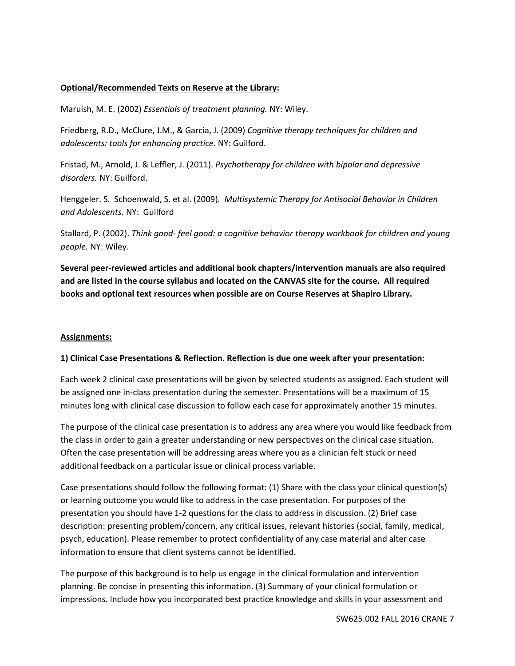#### **Optional/Recommended Texts on Reserve at the Library:**

Maruish, M. E. (2002) *Essentials of treatment planning.* NY: Wiley.

Friedberg, R.D., McClure, J.M., & Garcia, J. (2009) *Cognitive therapy techniques for children and adolescents: tools for enhancing practice.* NY: Guilford.

Fristad, M., Arnold, J. & Leffler, J. (2011). *Psychotherapy for children with bipolar and depressive disorders.* NY: Guilford.

Henggeler. S. Schoenwald, S. et al. (2009)*. Multisystemic Therapy for Antisocial Behavior in Children and Adolescents.* NY: Guilford

Stallard, P. (2002). *Think good- feel good: a cognitive behavior therapy workbook for children and young people.* NY: Wiley.

**Several peer-reviewed articles and additional book chapters/intervention manuals are also required and are listed in the course syllabus and located on the CANVAS site for the course. All required books and optional text resources when possible are on Course Reserves at Shapiro Library.** 

#### **Assignments:**

#### **1) Clinical Case Presentations & Reflection. Reflection is due one week after your presentation:**

Each week 2 clinical case presentations will be given by selected students as assigned. Each student will be assigned one in-class presentation during the semester. Presentations will be a maximum of 15 minutes long with clinical case discussion to follow each case for approximately another 15 minutes.

The purpose of the clinical case presentation is to address any area where you would like feedback from the class in order to gain a greater understanding or new perspectives on the clinical case situation. Often the case presentation will be addressing areas where you as a clinician felt stuck or need additional feedback on a particular issue or clinical process variable.

Case presentations should follow the following format: (1) Share with the class your clinical question(s) or learning outcome you would like to address in the case presentation. For purposes of the presentation you should have 1-2 questions for the class to address in discussion. (2) Brief case description: presenting problem/concern, any critical issues, relevant histories (social, family, medical, psych, education). Please remember to protect confidentiality of any case material and alter case information to ensure that client systems cannot be identified.

The purpose of this background is to help us engage in the clinical formulation and intervention planning. Be concise in presenting this information. (3) Summary of your clinical formulation or impressions. Include how you incorporated best practice knowledge and skills in your assessment and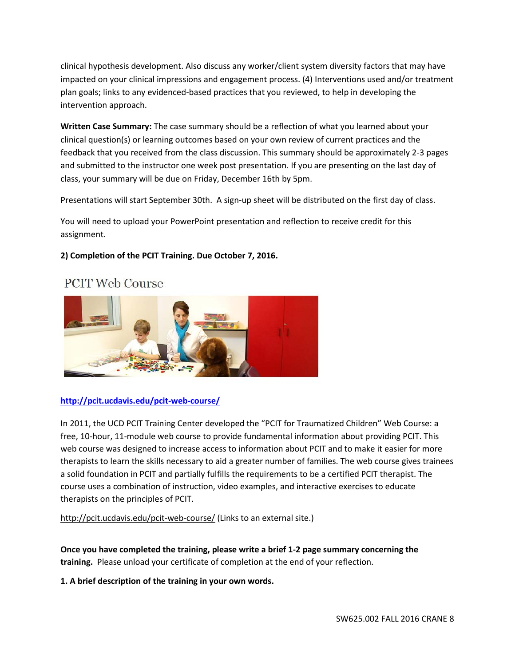clinical hypothesis development. Also discuss any worker/client system diversity factors that may have impacted on your clinical impressions and engagement process. (4) Interventions used and/or treatment plan goals; links to any evidenced-based practices that you reviewed, to help in developing the intervention approach.

**Written Case Summary:** The case summary should be a reflection of what you learned about your clinical question(s) or learning outcomes based on your own review of current practices and the feedback that you received from the class discussion. This summary should be approximately 2-3 pages and submitted to the instructor one week post presentation. If you are presenting on the last day of class, your summary will be due on Friday, December 16th by 5pm.

Presentations will start September 30th. A sign-up sheet will be distributed on the first day of class.

You will need to upload your PowerPoint presentation and reflection to receive credit for this assignment.

# **2) Completion of the PCIT Training. Due October 7, 2016.**

# **PCIT Web Course**



# **<http://pcit.ucdavis.edu/pcit-web-course/>**

In 2011, the UCD PCIT Training Center developed the "PCIT for Traumatized Children" Web Course: a free, 10-hour, 11-module web course to provide fundamental information about providing PCIT. This web course was designed to increase access to information about PCIT and to make it easier for more therapists to learn the skills necessary to aid a greater number of families. The web course gives trainees a solid foundation in PCIT and partially fulfills the requirements to be a certified PCIT therapist. The course uses a combination of instruction, video examples, and interactive exercises to educate therapists on the principles of PCIT.

<http://pcit.ucdavis.edu/pcit-web-course/> (Links to an external site.)

**Once you have completed the training, please write a brief 1-2 page summary concerning the training.** Please unload your certificate of completion at the end of your reflection.

**1. A brief description of the training in your own words.**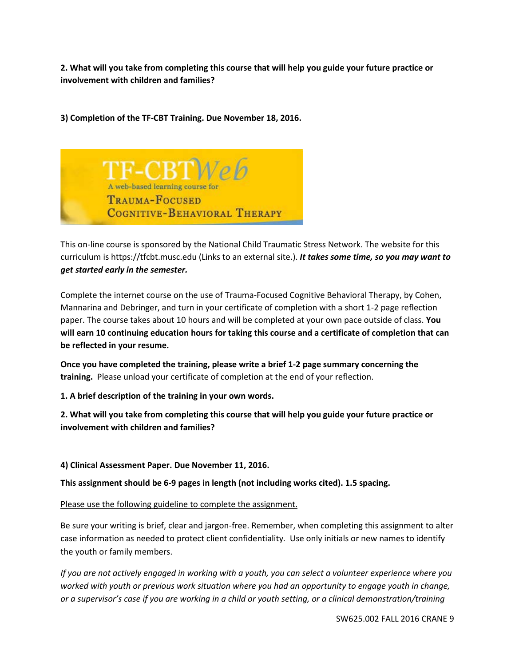**2. What will you take from completing this course that will help you guide your future practice or involvement with children and families?**

**3) Completion of the TF-CBT Training. Due November 18, 2016.**



This on-line course is sponsored by the National Child Traumatic Stress Network. The website for this curriculum is https://tfcbt.musc.edu (Links to an external site.). *It takes some time, so you may want to get started early in the semester.*

Complete the internet course on the use of Trauma-Focused Cognitive Behavioral Therapy, by Cohen, Mannarina and Debringer, and turn in your certificate of completion with a short 1-2 page reflection paper. The course takes about 10 hours and will be completed at your own pace outside of class. **You will earn 10 continuing education hours for taking this course and a certificate of completion that can be reflected in your resume.**

**Once you have completed the training, please write a brief 1-2 page summary concerning the training.** Please unload your certificate of completion at the end of your reflection.

**1. A brief description of the training in your own words.**

**2. What will you take from completing this course that will help you guide your future practice or involvement with children and families?**

**4) Clinical Assessment Paper. Due November 11, 2016.**

**This assignment should be 6-9 pages in length (not including works cited). 1.5 spacing.**

Please use the following guideline to complete the assignment.

Be sure your writing is brief, clear and jargon-free. Remember, when completing this assignment to alter case information as needed to protect client confidentiality*.* Use only initials or new names to identify the youth or family members.

*If you are not actively engaged in working with a youth, you can select a volunteer experience where you worked with youth or previous work situation where you had an opportunity to engage youth in change, or a supervisor's case if you are working in a child or youth setting, or a clinical demonstration/training*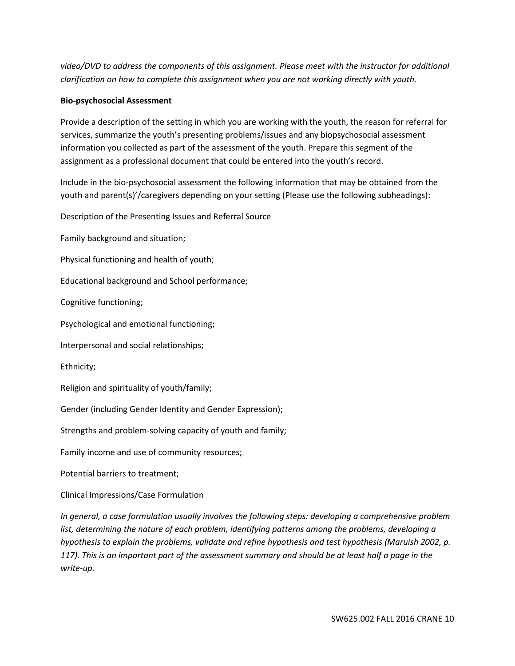*video/DVD to address the components of this assignment. Please meet with the instructor for additional clarification on how to complete this assignment when you are not working directly with youth.* 

#### **Bio-psychosocial Assessment**

Provide a description of the setting in which you are working with the youth, the reason for referral for services, summarize the youth's presenting problems/issues and any biopsychosocial assessment information you collected as part of the assessment of the youth. Prepare this segment of the assignment as a professional document that could be entered into the youth's record.

Include in the bio-psychosocial assessment the following information that may be obtained from the youth and parent(s)'/caregivers depending on your setting (Please use the following subheadings):

Description of the Presenting Issues and Referral Source

Family background and situation;

Physical functioning and health of youth;

Educational background and School performance;

Cognitive functioning;

Psychological and emotional functioning;

Interpersonal and social relationships;

Ethnicity;

Religion and spirituality of youth/family;

Gender (including Gender Identity and Gender Expression);

Strengths and problem-solving capacity of youth and family;

Family income and use of community resources;

Potential barriers to treatment;

Clinical Impressions/Case Formulation

*In general, a case formulation usually involves the following steps: developing a comprehensive problem list, determining the nature of each problem, identifying patterns among the problems, developing a hypothesis to explain the problems, validate and refine hypothesis and test hypothesis (Maruish 2002, p. 117). This is an important part of the assessment summary and should be at least half a page in the write-up.*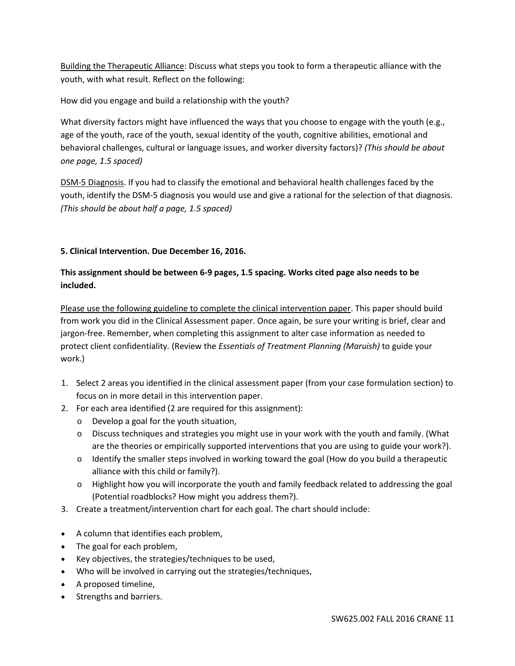Building the Therapeutic Alliance: Discuss what steps you took to form a therapeutic alliance with the youth, with what result. Reflect on the following:

How did you engage and build a relationship with the youth?

What diversity factors might have influenced the ways that you choose to engage with the youth (e.g., age of the youth, race of the youth, sexual identity of the youth, cognitive abilities, emotional and behavioral challenges, cultural or language issues, and worker diversity factors)? *(This should be about one page, 1.5 spaced)*

DSM-5 Diagnosis. If you had to classify the emotional and behavioral health challenges faced by the youth, identify the DSM-5 diagnosis you would use and give a rational for the selection of that diagnosis. *(This should be about half a page, 1.5 spaced)*

# **5. Clinical Intervention. Due December 16, 2016.**

# **This assignment should be between 6-9 pages, 1.5 spacing. Works cited page also needs to be included.**

Please use the following guideline to complete the clinical intervention paper. This paper should build from work you did in the Clinical Assessment paper. Once again, be sure your writing is brief, clear and jargon-free. Remember, when completing this assignment to alter case information as needed to protect client confidentiality*.* (Review the *Essentials of Treatment Planning (Maruish)* to guide your work.)

- 1. Select 2 areas you identified in the clinical assessment paper (from your case formulation section) to focus on in more detail in this intervention paper.
- 2. For each area identified (2 are required for this assignment):
	- o Develop a goal for the youth situation,
	- o Discuss techniques and strategies you might use in your work with the youth and family. (What are the theories or empirically supported interventions that you are using to guide your work?).
	- $\circ$  Identify the smaller steps involved in working toward the goal (How do you build a therapeutic alliance with this child or family?).
	- o Highlight how you will incorporate the youth and family feedback related to addressing the goal (Potential roadblocks? How might you address them?).
- 3. Create a treatment/intervention chart for each goal. The chart should include:
- A column that identifies each problem,
- The goal for each problem,
- Key objectives, the strategies/techniques to be used,
- Who will be involved in carrying out the strategies/techniques,
- A proposed timeline,
- Strengths and barriers.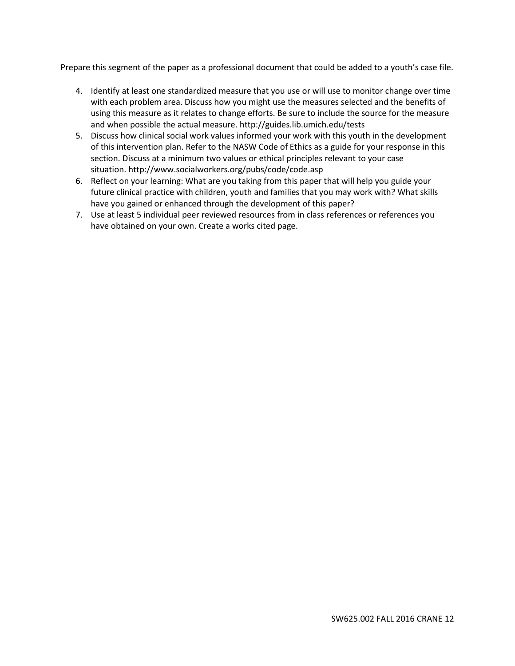Prepare this segment of the paper as a professional document that could be added to a youth's case file.

- 4. Identify at least one standardized measure that you use or will use to monitor change over time with each problem area. Discuss how you might use the measures selected and the benefits of using this measure as it relates to change efforts. Be sure to include the source for the measure and when possible the actual measure. http://guides.lib.umich.edu/tests
- 5. Discuss how clinical social work values informed your work with this youth in the development of this intervention plan. Refer to the NASW Code of Ethics as a guide for your response in this section. Discuss at a minimum two values or ethical principles relevant to your case situation. http://www.socialworkers.org/pubs/code/code.asp
- 6. Reflect on your learning: What are you taking from this paper that will help you guide your future clinical practice with children, youth and families that you may work with? What skills have you gained or enhanced through the development of this paper?
- 7. Use at least 5 individual peer reviewed resources from in class references or references you have obtained on your own. Create a works cited page.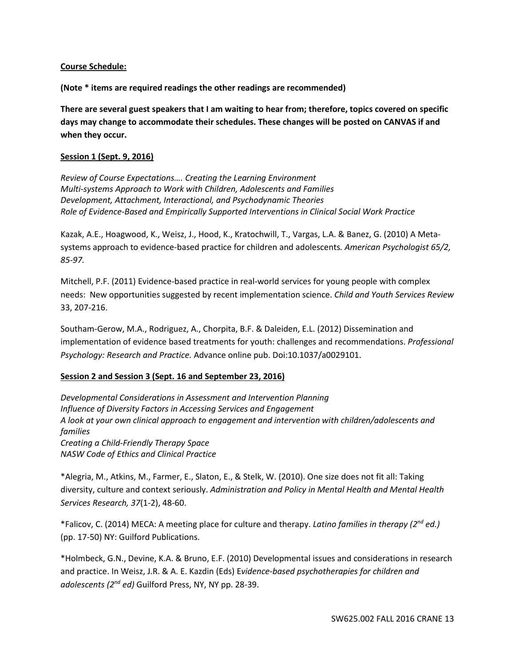#### **Course Schedule:**

**(Note \* items are required readings the other readings are recommended)**

**There are several guest speakers that I am waiting to hear from; therefore, topics covered on specific days may change to accommodate their schedules. These changes will be posted on CANVAS if and when they occur.**

#### **Session 1 (Sept. 9, 2016)**

*Review of Course Expectations…. Creating the Learning Environment Multi-systems Approach to Work with Children, Adolescents and Families Development, Attachment, Interactional, and Psychodynamic Theories Role of Evidence-Based and Empirically Supported Interventions in Clinical Social Work Practice*

Kazak, A.E., Hoagwood, K., Weisz, J., Hood, K., Kratochwill, T., Vargas, L.A. & Banez, G. (2010) A Metasystems approach to evidence-based practice for children and adolescents*. American Psychologist 65/2, 85-97.*

Mitchell, P.F. (2011) Evidence-based practice in real-world services for young people with complex needs: New opportunities suggested by recent implementation science. *Child and Youth Services Review* 33, 207-216.

Southam-Gerow, M.A., Rodriguez, A., Chorpita, B.F. & Daleiden, E.L. (2012) Dissemination and implementation of evidence based treatments for youth: challenges and recommendations. *Professional Psychology: Research and Practice.* Advance online pub. Doi:10.1037/a0029101.

# **Session 2 and Session 3 (Sept. 16 and September 23, 2016)**

*Developmental Considerations in Assessment and Intervention Planning Influence of Diversity Factors in Accessing Services and Engagement A look at your own clinical approach to engagement and intervention with children/adolescents and families Creating a Child-Friendly Therapy Space NASW Code of Ethics and Clinical Practice*

\*Alegria, M., Atkins, M., Farmer, E., Slaton, E., & Stelk, W. (2010). One size does not fit all: Taking diversity, culture and context seriously. *Administration and Policy in Mental Health and Mental Health Services Research, 37*(1-2), 48-60.

\*Falicov, C. (2014) MECA: A meeting place for culture and therapy. *Latino families in therapy (2nd ed.)*  (pp. 17-50) NY: Guilford Publications.

\*Holmbeck, G.N., Devine, K.A. & Bruno, E.F. (2010) Developmental issues and considerations in research and practice. In Weisz, J.R. & A. E. Kazdin (Eds) E*vidence-based psychotherapies for children and adolescents (2nd ed)* Guilford Press, NY, NY pp. 28-39.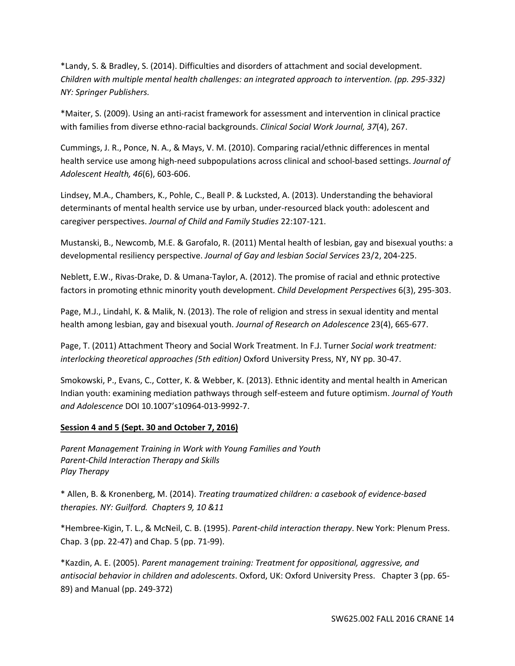\*Landy, S. & Bradley, S. (2014). Difficulties and disorders of attachment and social development. *Children with multiple mental health challenges: an integrated approach to intervention. (pp. 295-332) NY: Springer Publishers.* 

\*Maiter, S. (2009). Using an anti-racist framework for assessment and intervention in clinical practice with families from diverse ethno-racial backgrounds. *Clinical Social Work Journal, 37*(4), 267.

Cummings, J. R., Ponce, N. A., & Mays, V. M. (2010). Comparing racial/ethnic differences in mental health service use among high-need subpopulations across clinical and school-based settings. *Journal of Adolescent Health, 46*(6), 603-606.

Lindsey, M.A., Chambers, K., Pohle, C., Beall P. & Lucksted, A. (2013). Understanding the behavioral determinants of mental health service use by urban, under-resourced black youth: adolescent and caregiver perspectives. *Journal of Child and Family Studies* 22:107-121.

Mustanski, B., Newcomb, M.E. & Garofalo, R. (2011) Mental health of lesbian, gay and bisexual youths: a developmental resiliency perspective. *Journal of Gay and lesbian Social Services* 23/2, 204-225.

Neblett, E.W., Rivas-Drake, D. & Umana-Taylor, A. (2012). The promise of racial and ethnic protective factors in promoting ethnic minority youth development. *Child Development Perspectives* 6(3), 295-303.

Page, M.J., Lindahl, K. & Malik, N. (2013). The role of religion and stress in sexual identity and mental health among lesbian, gay and bisexual youth. *Journal of Research on Adolescence* 23(4), 665-677.

Page, T. (2011) Attachment Theory and Social Work Treatment. In F.J. Turner *Social work treatment: interlocking theoretical approaches (5th edition)* Oxford University Press, NY, NY pp. 30-47.

Smokowski, P., Evans, C., Cotter, K. & Webber, K. (2013). Ethnic identity and mental health in American Indian youth: examining mediation pathways through self-esteem and future optimism. *Journal of Youth and Adolescence* DOI 10.1007's10964-013-9992-7.

#### **Session 4 and 5 (Sept. 30 and October 7, 2016)**

*Parent Management Training in Work with Young Families and Youth Parent-Child Interaction Therapy and Skills Play Therapy*

\* Allen, B. & Kronenberg, M. (2014). *Treating traumatized children: a casebook of evidence-based therapies. NY: Guilford. Chapters 9, 10 &11*

\*Hembree-Kigin, T. L., & McNeil, C. B. (1995). *Parent-child interaction therapy*. New York: Plenum Press. Chap. 3 (pp. 22-47) and Chap. 5 (pp. 71-99).

\*Kazdin, A. E. (2005). *Parent management training: Treatment for oppositional, aggressive, and antisocial behavior in children and adolescents*. Oxford, UK: Oxford University Press. Chapter 3 (pp. 65- 89) and Manual (pp. 249-372)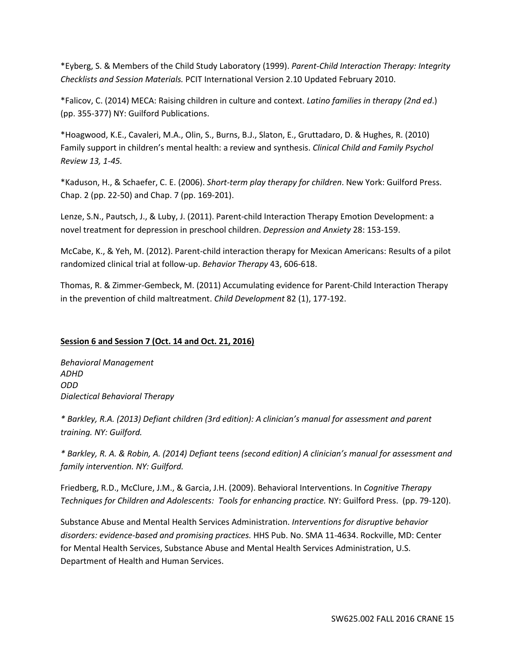\*Eyberg, S. & Members of the Child Study Laboratory (1999). *Parent-Child Interaction Therapy: Integrity Checklists and Session Materials.* PCIT International Version 2.10 Updated February 2010.

\*Falicov, C. (2014) MECA: Raising children in culture and context. *Latino families in therapy (2nd ed*.) (pp. 355-377) NY: Guilford Publications.

\*Hoagwood, K.E., Cavaleri, M.A., Olin, S., Burns, B.J., Slaton, E., Gruttadaro, D. & Hughes, R. (2010) Family support in children's mental health: a review and synthesis. *Clinical Child and Family Psychol Review 13, 1-45.*

\*Kaduson, H., & Schaefer, C. E. (2006). *Short-term play therapy for children*. New York: Guilford Press. Chap. 2 (pp. 22-50) and Chap. 7 (pp. 169-201).

Lenze, S.N., Pautsch, J., & Luby, J. (2011). Parent-child Interaction Therapy Emotion Development: a novel treatment for depression in preschool children. *Depression and Anxiety* 28: 153-159.

McCabe, K., & Yeh, M. (2012). Parent-child interaction therapy for Mexican Americans: Results of a pilot randomized clinical trial at follow-up. *Behavior Therapy* 43, 606-618.

Thomas, R. & Zimmer-Gembeck, M. (2011) Accumulating evidence for Parent-Child Interaction Therapy in the prevention of child maltreatment. *Child Development* 82 (1), 177-192.

#### **Session 6 and Session 7 (Oct. 14 and Oct. 21, 2016)**

*Behavioral Management ADHD ODD Dialectical Behavioral Therapy*

*\* Barkley, R.A. (2013) Defiant children (3rd edition): A clinician's manual for assessment and parent training. NY: Guilford.*

*\* Barkley, R. A. & Robin, A. (2014) Defiant teens (second edition) A clinician's manual for assessment and family intervention. NY: Guilford.*

Friedberg, R.D., McClure, J.M., & Garcia, J.H. (2009). Behavioral Interventions. In *Cognitive Therapy Techniques for Children and Adolescents: Tools for enhancing practice.* NY: Guilford Press. (pp. 79-120).

Substance Abuse and Mental Health Services Administration. *Interventions for disruptive behavior disorders: evidence-based and promising practices.* HHS Pub. No. SMA 11-4634. Rockville, MD: Center for Mental Health Services, Substance Abuse and Mental Health Services Administration, U.S. Department of Health and Human Services.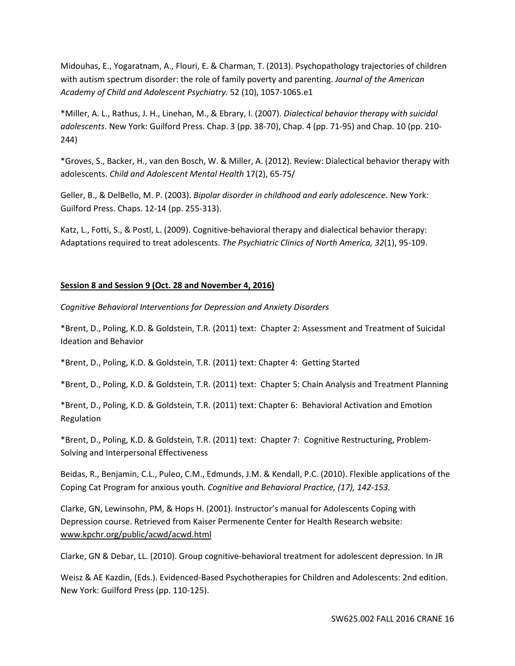Midouhas, E., Yogaratnam, A., Flouri, E. & Charman, T. (2013). Psychopathology trajectories of children with autism spectrum disorder: the role of family poverty and parenting. *Journal of the American Academy of Child and Adolescent Psychiatry.* 52 (10), 1057-1065.e1

\*Miller, A. L., Rathus, J. H., Linehan, M., & Ebrary, I. (2007). *Dialectical behavior therapy with suicidal adolescents*. New York: Guilford Press. Chap. 3 (pp. 38-70), Chap. 4 (pp. 71-95) and Chap. 10 (pp. 210- 244)

\*Groves, S., Backer, H., van den Bosch, W. & Miller, A. (2012). Review: Dialectical behavior therapy with adolescents. *Child and Adolescent Mental Health* 17(2), 65-75/

Geller, B., & DelBello, M. P. (2003). *Bipolar disorder in childhood and early adolescence*. New York: Guilford Press. Chaps. 12-14 (pp. 255-313).

Katz, L., Fotti, S., & Postl, L. (2009). Cognitive-behavioral therapy and dialectical behavior therapy: Adaptations required to treat adolescents. *The Psychiatric Clinics of North America, 32*(1), 95-109.

#### **Session 8 and Session 9 (Oct. 28 and November 4, 2016)**

*Cognitive Behavioral Interventions for Depression and Anxiety Disorders* 

\*Brent, D., Poling, K.D. & Goldstein, T.R. (2011) text: Chapter 2: Assessment and Treatment of Suicidal Ideation and Behavior

\*Brent, D., Poling, K.D. & Goldstein, T.R. (2011) text: Chapter 4: Getting Started

\*Brent, D., Poling, K.D. & Goldstein, T.R. (2011) text: Chapter 5: Chain Analysis and Treatment Planning

\*Brent, D., Poling, K.D. & Goldstein, T.R. (2011) text: Chapter 6: Behavioral Activation and Emotion Regulation

\*Brent, D., Poling, K.D. & Goldstein, T.R. (2011) text: Chapter 7: Cognitive Restructuring, Problem-Solving and Interpersonal Effectiveness

Beidas, R., Benjamin, C.L., Puleo, C.M., Edmunds, J.M. & Kendall, P.C. (2010). Flexible applications of the Coping Cat Program for anxious youth. *Cognitive and Behavioral Practice, (17), 142-153.*

Clarke, GN, Lewinsohn, PM, & Hops H. (2001). Instructor's manual for Adolescents Coping with Depression course. Retrieved from Kaiser Permenente Center for Health Research website: www.kpchr.org/public/acwd/acwd.html

Clarke, GN & Debar, LL. (2010). Group cognitive-behavioral treatment for adolescent depression. In JR

Weisz & AE Kazdin, (Eds.). Evidenced-Based Psychotherapies for Children and Adolescents: 2nd edition. New York: Guilford Press (pp. 110-125).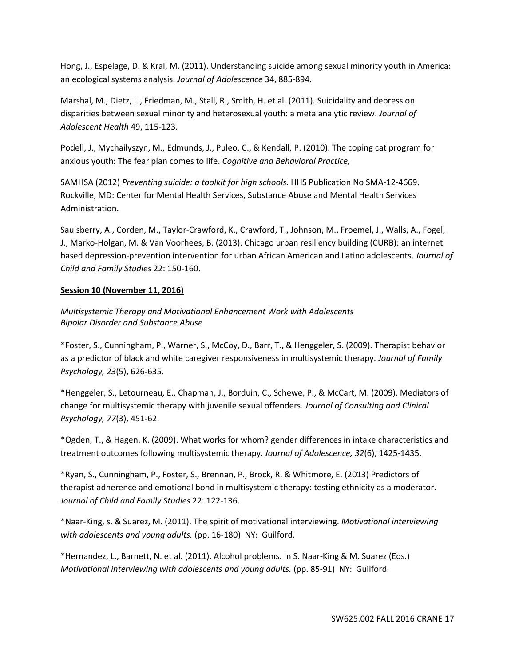Hong, J., Espelage, D. & Kral, M. (2011). Understanding suicide among sexual minority youth in America: an ecological systems analysis. *Journal of Adolescence* 34, 885-894.

Marshal, M., Dietz, L., Friedman, M., Stall, R., Smith, H. et al. (2011). Suicidality and depression disparities between sexual minority and heterosexual youth: a meta analytic review. *Journal of Adolescent Health* 49, 115-123.

Podell, J., Mychailyszyn, M., Edmunds, J., Puleo, C., & Kendall, P. (2010). The coping cat program for anxious youth: The fear plan comes to life. *Cognitive and Behavioral Practice,* 

SAMHSA (2012) *Preventing suicide: a toolkit for high schools.* HHS Publication No SMA-12-4669. Rockville, MD: Center for Mental Health Services, Substance Abuse and Mental Health Services Administration.

Saulsberry, A., Corden, M., Taylor-Crawford, K., Crawford, T., Johnson, M., Froemel, J., Walls, A., Fogel, J., Marko-Holgan, M. & Van Voorhees, B. (2013). Chicago urban resiliency building (CURB): an internet based depression-prevention intervention for urban African American and Latino adolescents. *Journal of Child and Family Studies* 22: 150-160.

#### **Session 10 (November 11, 2016)**

*Multisystemic Therapy and Motivational Enhancement Work with Adolescents Bipolar Disorder and Substance Abuse*

\*Foster, S., Cunningham, P., Warner, S., McCoy, D., Barr, T., & Henggeler, S. (2009). Therapist behavior as a predictor of black and white caregiver responsiveness in multisystemic therapy. *Journal of Family Psychology, 23*(5), 626-635.

\*Henggeler, S., Letourneau, E., Chapman, J., Borduin, C., Schewe, P., & McCart, M. (2009). Mediators of change for multisystemic therapy with juvenile sexual offenders. *Journal of Consulting and Clinical Psychology, 77*(3), 451-62.

\*Ogden, T., & Hagen, K. (2009). What works for whom? gender differences in intake characteristics and treatment outcomes following multisystemic therapy. *Journal of Adolescence, 32*(6), 1425-1435.

\*Ryan, S., Cunningham, P., Foster, S., Brennan, P., Brock, R. & Whitmore, E. (2013) Predictors of therapist adherence and emotional bond in multisystemic therapy: testing ethnicity as a moderator. *Journal of Child and Family Studies* 22: 122-136.

\*Naar-King, s. & Suarez, M. (2011). The spirit of motivational interviewing. *Motivational interviewing with adolescents and young adults.* (pp. 16-180) NY: Guilford.

\*Hernandez, L., Barnett, N. et al. (2011). Alcohol problems. In S. Naar-King & M. Suarez (Eds.) *Motivational interviewing with adolescents and young adults.* (pp. 85-91) NY: Guilford.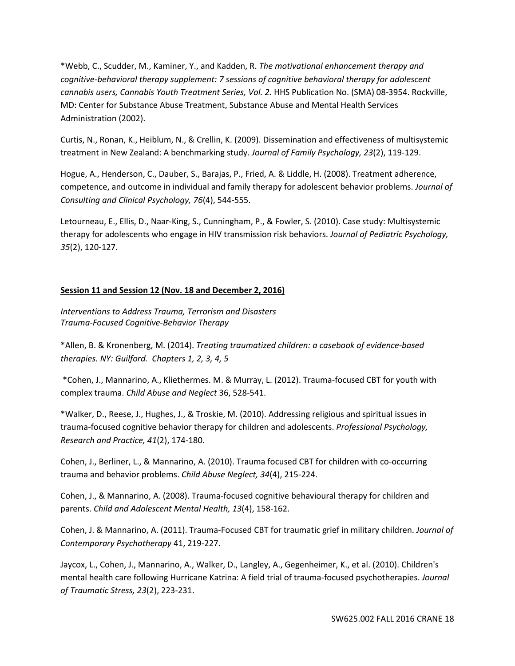\*Webb, C., Scudder, M., Kaminer, Y., and Kadden, R. *The motivational enhancement therapy and cognitive-behavioral therapy supplement: 7 sessions of cognitive behavioral therapy for adolescent cannabis users, Cannabis Youth Treatment Series, Vol. 2.* HHS Publication No. (SMA) 08-3954. Rockville, MD: Center for Substance Abuse Treatment, Substance Abuse and Mental Health Services Administration (2002).

Curtis, N., Ronan, K., Heiblum, N., & Crellin, K. (2009). Dissemination and effectiveness of multisystemic treatment in New Zealand: A benchmarking study. *Journal of Family Psychology, 23*(2), 119-129.

Hogue, A., Henderson, C., Dauber, S., Barajas, P., Fried, A. & Liddle, H. (2008). Treatment adherence, competence, and outcome in individual and family therapy for adolescent behavior problems. *Journal of Consulting and Clinical Psychology, 76*(4), 544-555.

Letourneau, E., Ellis, D., Naar-King, S., Cunningham, P., & Fowler, S. (2010). Case study: Multisystemic therapy for adolescents who engage in HIV transmission risk behaviors. *Journal of Pediatric Psychology, 35*(2), 120-127.

# **Session 11 and Session 12 (Nov. 18 and December 2, 2016)**

*Interventions to Address Trauma, Terrorism and Disasters Trauma-Focused Cognitive-Behavior Therapy*

\*Allen, B. & Kronenberg, M. (2014). *Treating traumatized children: a casebook of evidence-based therapies. NY: Guilford. Chapters 1, 2, 3, 4, 5*

\*Cohen, J., Mannarino, A., Kliethermes. M. & Murray, L. (2012). Trauma-focused CBT for youth with complex trauma. *Child Abuse and Neglect* 36, 528-541.

\*Walker, D., Reese, J., Hughes, J., & Troskie, M. (2010). Addressing religious and spiritual issues in trauma-focused cognitive behavior therapy for children and adolescents. *Professional Psychology, Research and Practice, 41*(2), 174-180.

Cohen, J., Berliner, L., & Mannarino, A. (2010). Trauma focused CBT for children with co-occurring trauma and behavior problems. *Child Abuse Neglect, 34*(4), 215-224.

Cohen, J., & Mannarino, A. (2008). Trauma-focused cognitive behavioural therapy for children and parents. *Child and Adolescent Mental Health, 13*(4), 158-162.

Cohen, J. & Mannarino, A. (2011). Trauma-Focused CBT for traumatic grief in military children. *Journal of Contemporary Psychotherapy* 41, 219-227.

Jaycox, L., Cohen, J., Mannarino, A., Walker, D., Langley, A., Gegenheimer, K., et al. (2010). Children's mental health care following Hurricane Katrina: A field trial of trauma-focused psychotherapies. *Journal of Traumatic Stress, 23*(2), 223-231.